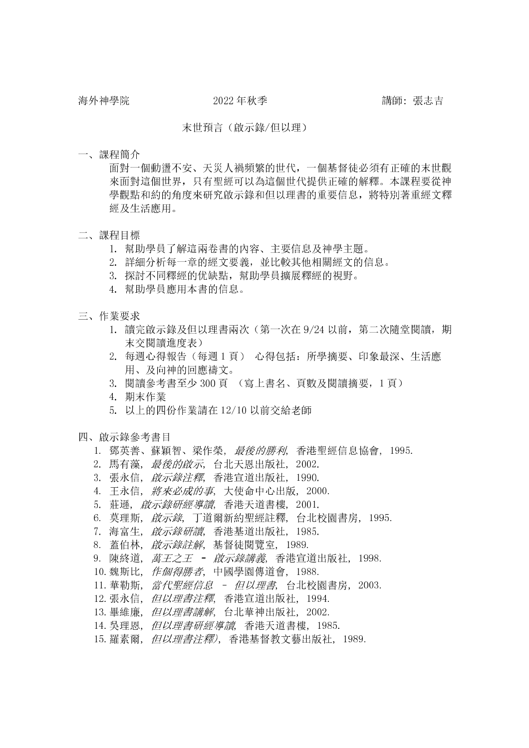## 末世預言(啟示錄/但以理)

一、課程簡介

面對一個動盪不安、天災人禍頻繁的世代,一個基督徒必須有正確的末世觀來面對這個世界,只有聖經可以為這個世代提供正確的解釋。本課程要從神學觀點和約的角度來研究啟示錄和但以理書的重要信息,將特別著重經文釋經及生活應用。

- 二、課程目標
	- 1. 幫助學員了解這兩卷書的內容、主要信息及神學主題。
	- 2. 詳細分析每一章的經文要義,並比較其他相關經文的信息。
	- 3. 探討不同釋經的优缺點,幫助學員擴展釋經的視野。
	- 4. 幫助學員應用本書的信息。
- 三、作業要求
	- 1. 讀完啟示錄及但以理書兩次(第一次在 9/24 以前, 第二次隨堂閱讀, 期 末交閱讀進度表)
	- 2. 每週心得報告(每週1頁) 心得包括: 所學摘要、印象最深、生活應 用、及向神的回應禱文。
	- 3. 閱讀參考書至少 300 頁 (寫上書名、頁數及閱讀摘要,1 頁)
	- 4. 期末作業
	- 5. 以上的四份作業請在 12/10 以前交給老師
- 四、啟示錄參考書目
	- 1. 鄧英善、蘇穎智、梁作榮, *最後的勝利*, 香港聖經信息協會, 1995.
	- 2. 馬有藻, *最後的啟示*, 台北天恩出版社, 2002.
	- 3. 張永信, *啟示錄注釋*, 香港宣道出版社, 1990.
	- 4. 王永信, *將來必成的事*, 大使命中心出版, 2000.
	- 5. 莊遜, *啟示錄研經導讀*, 香港天道書樓, 2001.
	- 6. 莫理斯, *啟示錄*, 丁道爾新約聖經註釋, 台北校園書房, 1995.
	- 7. 海富生, *啟示錄研讀*, 香港基道出版社, 1985.
	- 8. 蓋伯林, *啟示錄註解*, 基督徒閱覽室, 1989.
	- 9. 陳終道, *萬王之王 啟示錄講義*, 香港宣道出版社, 1998.
	- 10.魏斯比, 作個得勝者, 中國學園傳道會, 1988.
	- 11. 華勒斯, 當代聖經信息 但以理書, 台北校園書房, 2003.
	- 12.張永信, 但以理書注釋, 香港宣道出版社, 1994.
	- 13. 畢維廉, 但以理書講解, 台北華神出版社, 2002.
	- 14. 吳理恩, 但以理書研經導讀, 香港天道書樓, 1985.
	- 15.羅素爾, 但以理書注釋), 香港基督教文藝出版社, 1989.